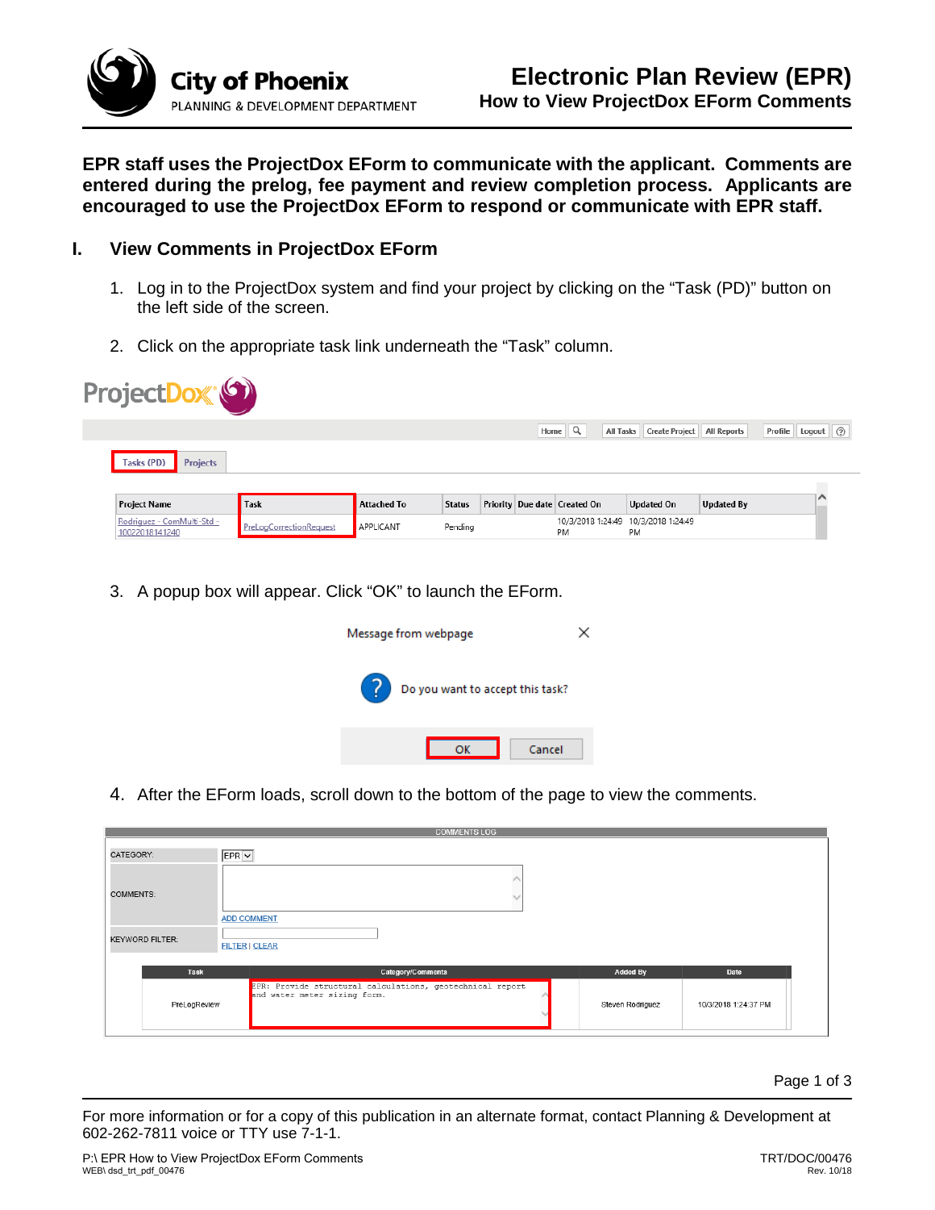

**EPR staff uses the ProjectDox EForm to communicate with the applicant. Comments are entered during the prelog, fee payment and review completion process. Applicants are encouraged to use the ProjectDox EForm to respond or communicate with EPR staff.**

## **I. View Comments in ProjectDox EForm**

- 1. Log in to the ProjectDox system and find your project by clicking on the "Task (PD)" button on the left side of the screen.
- 2. Click on the appropriate task link underneath the "Task" column.

| ProjectDox <sup>(6)</sup> |             |               |  |           |                                                   |                                                                              |                              |
|---------------------------|-------------|---------------|--|-----------|---------------------------------------------------|------------------------------------------------------------------------------|------------------------------|
|                           |             |               |  |           |                                                   |                                                                              | Profile Logout (2)           |
|                           |             |               |  |           |                                                   |                                                                              |                              |
| <b>Task</b>               | Attached To | <b>Status</b> |  |           |                                                   | <b>Updated By</b>                                                            |                              |
| PreLogCorrectionRequest   | APPLICANT   | Pending       |  | <b>PM</b> | PM                                                |                                                                              |                              |
|                           |             |               |  |           | Home $\mathbb{Q}$<br>Priority Due date Created On | <b>All Tasks</b><br><b>Updated On</b><br>10/3/2018 1:24:49 10/3/2018 1:24:49 | Create Project   All Reports |

3. A popup box will appear. Click "OK" to launch the EForm.



4. After the EForm loads, scroll down to the bottom of the page to view the comments.

|                        | <b>COMMENTS LOG</b>                                                                       |                  |                      |  |
|------------------------|-------------------------------------------------------------------------------------------|------------------|----------------------|--|
| CATEGORY:              | EPRV                                                                                      |                  |                      |  |
| <b>COMMENTS:</b>       | <b>ADD COMMENT</b>                                                                        |                  |                      |  |
| <b>KEYWORD FILTER:</b> | <b>FILTER   CLEAR</b>                                                                     |                  |                      |  |
| Task                   | Category/Comments                                                                         | <b>Added By</b>  | Date                 |  |
| PreLogReview           | EPR: Provide structural calculations, geotechnical report<br>and water meter sizing form. | Steven Rodriguez | 10/3/2018 1:24:37 PM |  |

Page 1 of 3

For more information or for a copy of this publication in an alternate format, contact Planning & Development at 602-262-7811 voice or TTY use 7-1-1.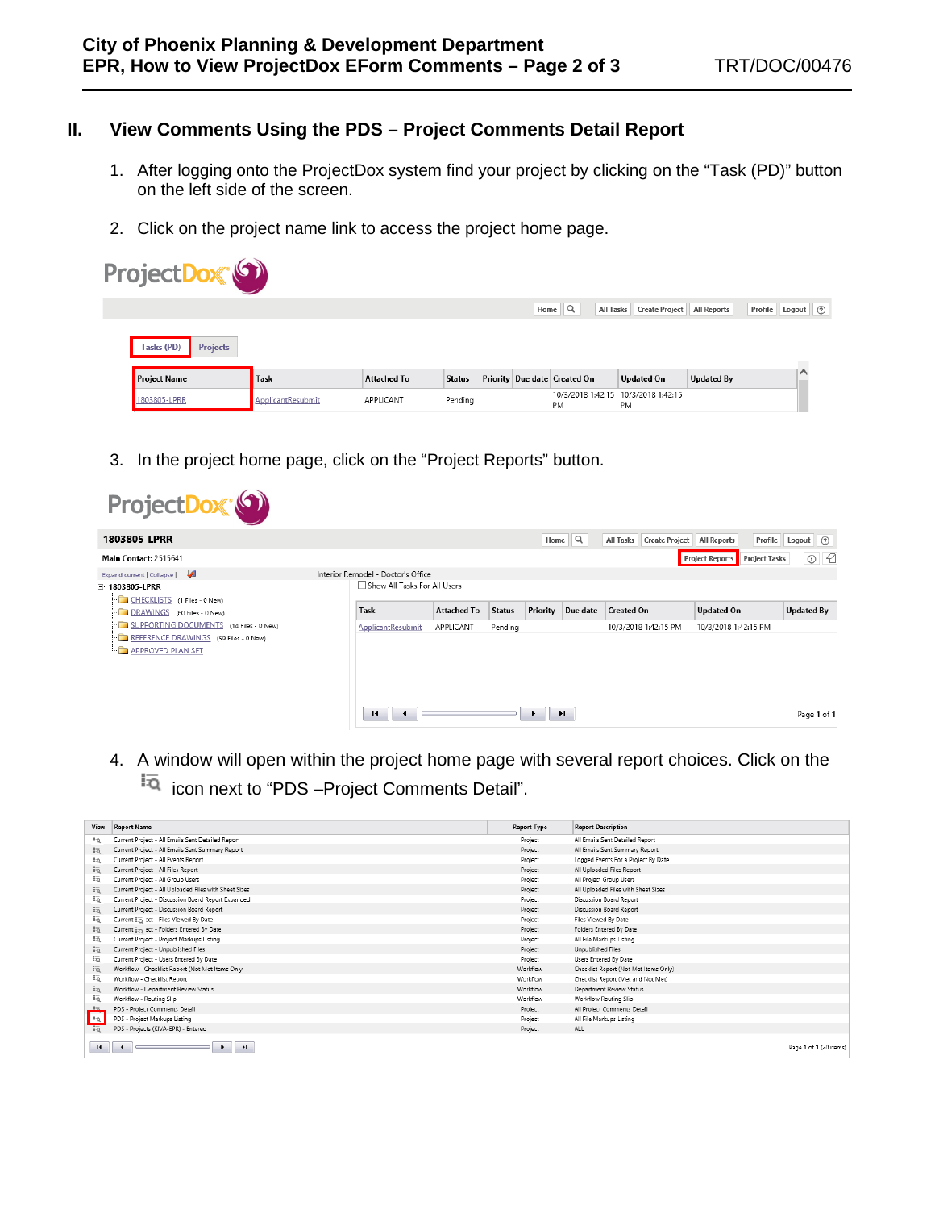## **II. View Comments Using the PDS – Project Comments Detail Report**

- 1. After logging onto the ProjectDox system find your project by clicking on the "Task (PD)" button on the left side of the screen.
- 2. Click on the project name link to access the project home page.

| ProjectDox <sup>®</sup>       |                   |                    |               |  |                                           |                              |                   |                    |
|-------------------------------|-------------------|--------------------|---------------|--|-------------------------------------------|------------------------------|-------------------|--------------------|
|                               |                   |                    |               |  | Home $\mathbb{Q}$<br><b>All Tasks</b>     | Create Project   All Reports |                   | Profile Logout (2) |
| Tasks (PD)<br><b>Projects</b> |                   |                    |               |  |                                           |                              |                   |                    |
| <b>Project Name</b>           | <b>Task</b>       | <b>Attached To</b> | <b>Status</b> |  | Priority Due date Created On              | <b>Updated On</b>            | <b>Updated By</b> | ╭                  |
| 1803805-LPRR                  | ApplicantResubmit | APPLICANT          | Pending       |  | 10/3/2018 1:42:15 10/3/2018 1:42:15<br>PM | PM                           |                   |                    |

3. In the project home page, click on the "Project Reports" button.

| ProjectDox <sup>®</sup>                                                                                                        |  |                                                                    |           |                           |      |          |                                    |                                                |                      |
|--------------------------------------------------------------------------------------------------------------------------------|--|--------------------------------------------------------------------|-----------|---------------------------|------|----------|------------------------------------|------------------------------------------------|----------------------|
| 1803805-LPRR                                                                                                                   |  |                                                                    |           |                           | Home | $\alpha$ | <b>Create Project</b><br>All Tasks | Profile<br>All Reports                         | Logout $\oslash$     |
| Main Contact: 2515641                                                                                                          |  |                                                                    |           |                           |      |          |                                    | <b>Project Reports</b><br><b>Project Tasks</b> | - 12<br>$\copyright$ |
| ◢<br>Expand current   Collapse  <br>□ 1803805-LPRR<br>CHECKLISTS (1 Files - 0 New)                                             |  | Interior Remodel - Doctor's Office<br>Show All Tasks For All Users |           |                           |      |          |                                    |                                                |                      |
| DRAWINGS (60 Files - 0 New)                                                                                                    |  | Task<br><b>Attached To</b>                                         |           | Priority<br><b>Status</b> |      | Due date | <b>Created On</b>                  | <b>Updated On</b>                              | <b>Updated By</b>    |
| SUPPORTING DOCUMENTS (14 Files - 0 New)<br>REFERENCE DRAWINGS (59 Files - 0 New)<br><b>APPROVED PLAN SET</b><br><u>in part</u> |  | ApplicantResubmit                                                  | APPLICANT | Pending                   |      |          | 10/3/2018 1:42:15 PM               | 10/3/2018 1:42:15 PM                           |                      |
|                                                                                                                                |  | $\blacksquare$                                                     |           |                           |      | H        |                                    |                                                | Page 1 of 1          |

4. A window will open within the project home page with several report choices. Click on the icon next to "PDS –Project Comments Detail".

| View         | <b>Report Name</b>                                        | <b>Report Type</b> | <b>Report Description</b>             |
|--------------|-----------------------------------------------------------|--------------------|---------------------------------------|
| Eo           | Current Project - All Emails Sent Detailed Report         | Project            | All Emails Sent Detailed Report       |
| ŧā           | Current Project - All Emails Sent Summary Report          | Project            | All Emails Sent Summary Report        |
| ŧά           | Current Project - All Events Report                       | Project            | Logged Events For a Project By Date   |
| ŧā           | Current Project - All Files Report                        | Project            | All Uploaded Files Report             |
| Eö           | Current Project - All Group Users                         | Project            | All Project Group Users               |
| ŧā           | Current Project - All Uploaded Files with Sheet Sizes     | Project            | All Uploaded Files with Sheet Sizes   |
| Eö           | Current Project - Discussion Board Report Expanded        | Project            | Discussion Board Report               |
| ŧā           | Current Project - Discussion Board Report                 | Project            | Discussion Board Report               |
| Εą           | Current $E_{\overline{13}}$ act - Files Viewed By Date    | Project            | Files Viewed By Date                  |
| ŧā           | Current $\overline{z_{11}}$ ect - Folders Entered By Date | Project            | Folders Entered By Date               |
| Eö           | Current Project - Project Markups Listing                 | Project            | All File Markups Listing              |
| ŧā           | Current Project - Unpublished Files                       | Project            | Unpublished Files                     |
| Fo           | Current Project - Users Entered By Date                   | Project            | Users Entered By Date                 |
| iō.          | Workflow - Checklist Report (Not Met Items Only)          | Workflow           | Checklist Report (Not Met Items Only) |
| Εö           | Workflow - Checklist Report                               | Workflow           | Checklist Report (Met and Not Met)    |
| tā           | Workflow - Department Review Status                       | Workflow           | Department Review Status              |
| Εą           | Workflow - Routing Slip                                   | Workflow           | Workflow Routing Slip                 |
| - 15.        | PDS - Project Comments Detail                             | Project            | All Project Comments Detail           |
| <b>Fa</b>    | PDS - Project Markups Listing                             | Project            | All File Markups Listing              |
| FQ           | PDS - Projects (KIVA-EPR) - Entered                       | Project            | ALL.                                  |
| $\mathbf{H}$ | H                                                         |                    | Page 1 of 1 (20 items)                |